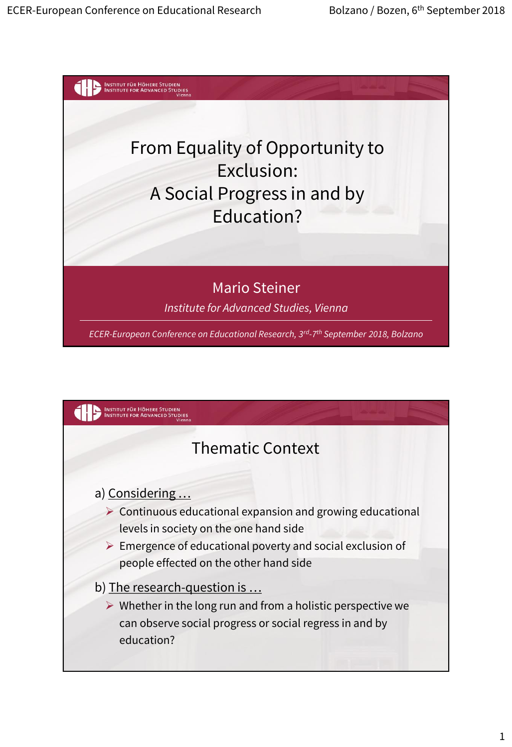

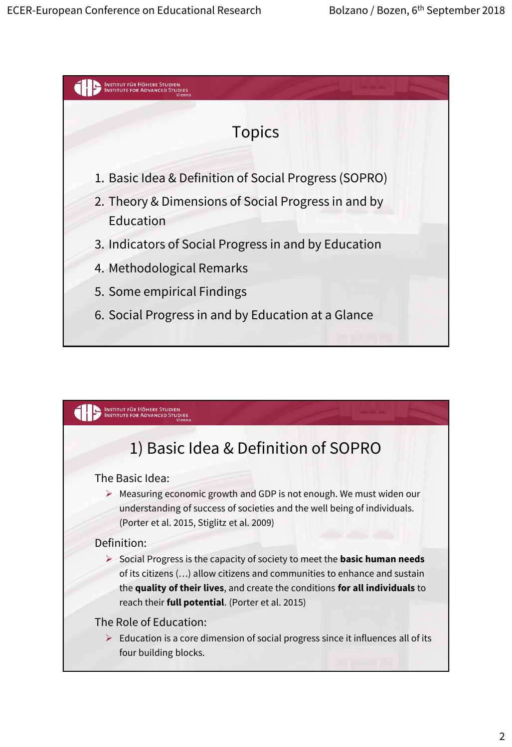

#### INSTITUT FÜR HÖHERE STUDIEN<br>INSTITUTE FOR ADVANCED STUDIES

# 1) Basic Idea & Definition of SOPRO

The Basic Idea:

 $\triangleright$  Measuring economic growth and GDP is not enough. We must widen our understanding of success of societies and the well being of individuals. (Porter et al. 2015, Stiglitz et al. 2009)

#### Definition:

 Social Progress is the capacity of society to meet the **basic human needs**  of its citizens (…) allow citizens and communities to enhance and sustain the **quality of their lives**, and create the conditions **for all individuals** to reach their **full potential**. (Porter et al. 2015)

#### The Role of Education:

 $\triangleright$  Education is a core dimension of social progress since it influences all of its four building blocks.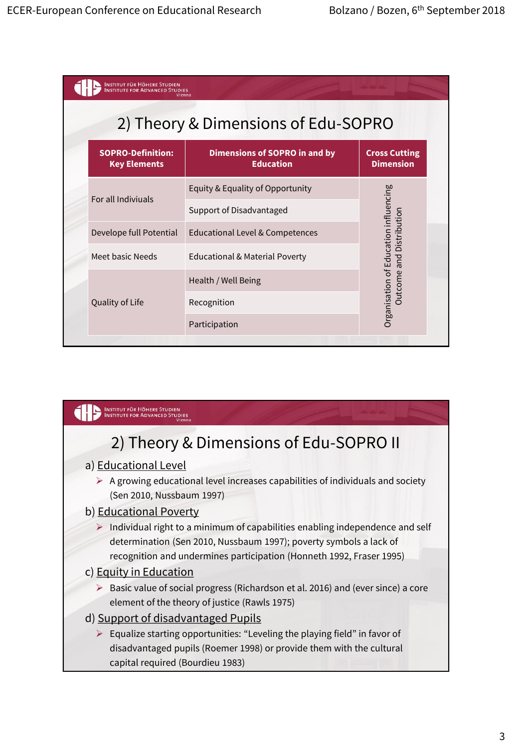| 2) Theory & Dimensions of Edu-SOPRO<br><b>Dimensions of SOPRO in and by</b><br><b>Education</b> | <b>Cross Cutting</b>                  |
|-------------------------------------------------------------------------------------------------|---------------------------------------|
|                                                                                                 |                                       |
|                                                                                                 | <b>Dimension</b>                      |
| Equity & Equality of Opportunity                                                                |                                       |
| Support of Disadvantaged                                                                        |                                       |
| Educational Level & Competences                                                                 | Distribution                          |
| <b>Educational &amp; Material Poverty</b>                                                       | Organisation of Education influencing |
| Health / Well Being                                                                             | <b>Outcome</b> and                    |
| Recognition                                                                                     |                                       |
| Participation                                                                                   |                                       |
|                                                                                                 |                                       |

## INSTITUT FÜR HÖHERE STUDIEN

# 2) Theory & Dimensions of Edu-SOPRO II

#### a) Educational Level

 $\triangleright$  A growing educational level increases capabilities of individuals and society (Sen 2010, Nussbaum 1997)

#### b) Educational Poverty

 $\triangleright$  Individual right to a minimum of capabilities enabling independence and self determination (Sen 2010, Nussbaum 1997); poverty symbols a lack of recognition and undermines participation (Honneth 1992, Fraser 1995)

#### c) Equity in Education

 $\triangleright$  Basic value of social progress (Richardson et al. 2016) and (ever since) a core element of the theory of justice (Rawls 1975)

#### d) Support of disadvantaged Pupils

 $\triangleright$  Equalize starting opportunities: "Leveling the playing field" in favor of disadvantaged pupils (Roemer 1998) or provide them with the cultural capital required (Bourdieu 1983)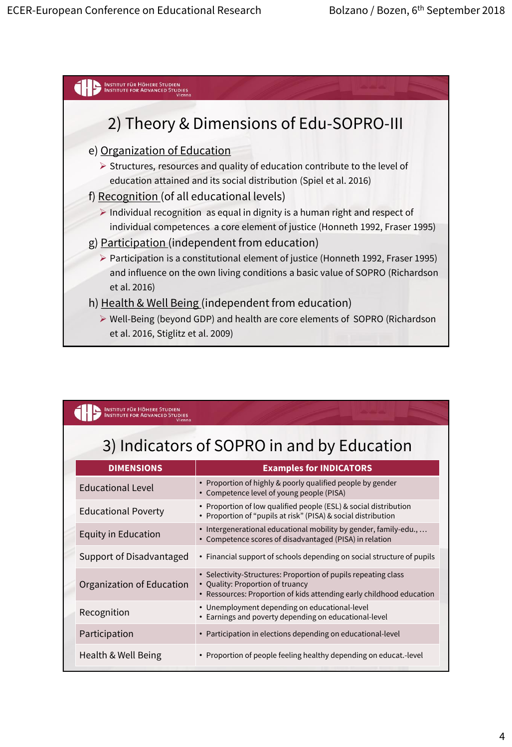

## INSTITUT FÜR HÖHERE STUDIEN

# 3) Indicators of SOPRO in and by Education

| <b>DIMENSIONS</b>          | <b>Examples for INDICATORS</b>                                                                                                                                             |  |
|----------------------------|----------------------------------------------------------------------------------------------------------------------------------------------------------------------------|--|
| Educational Level          | • Proportion of highly & poorly qualified people by gender<br>• Competence level of young people (PISA)                                                                    |  |
| <b>Educational Poverty</b> | • Proportion of low qualified people (ESL) & social distribution<br>• Proportion of "pupils at risk" (PISA) & social distribution                                          |  |
| <b>Equity in Education</b> | · Intergenerational educational mobility by gender, family-edu.,<br>• Competence scores of disadvantaged (PISA) in relation                                                |  |
| Support of Disadvantaged   | • Financial support of schools depending on social structure of pupils                                                                                                     |  |
| Organization of Education  | • Selectivity-Structures: Proportion of pupils repeating class<br>• Quality: Proportion of truancy<br>• Ressources: Proportion of kids attending early childhood education |  |
| Recognition                | • Unemployment depending on educational-level<br>• Earnings and poverty depending on educational-level                                                                     |  |
| Participation              | • Participation in elections depending on educational-level                                                                                                                |  |
| Health & Well Being        | • Proportion of people feeling healthy depending on educat.-level                                                                                                          |  |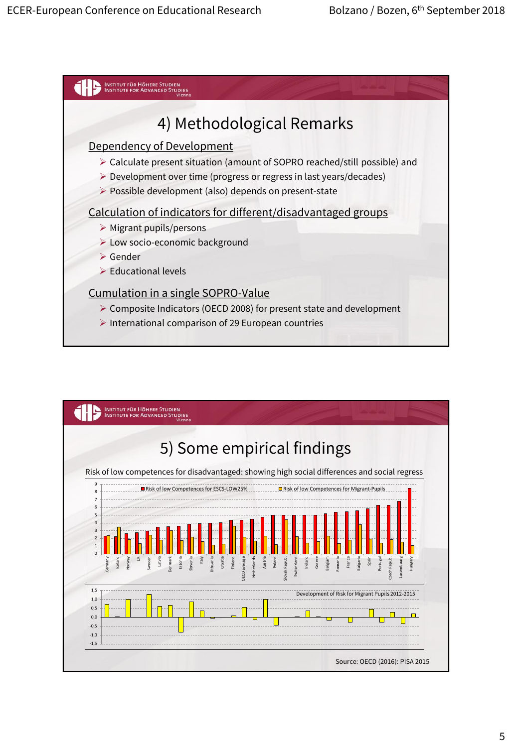

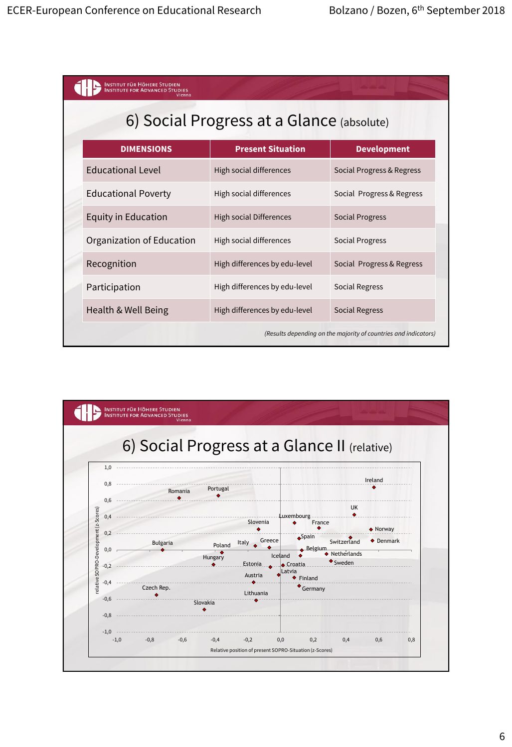| <b>NSTITUT FÜR HÖHERE STUDIEN</b><br>/ienna                     |                                |                           |  |
|-----------------------------------------------------------------|--------------------------------|---------------------------|--|
| 6) Social Progress at a Glance (absolute)                       |                                |                           |  |
| <b>DIMENSIONS</b>                                               | <b>Present Situation</b>       | <b>Development</b>        |  |
| <b>Educational Level</b>                                        | High social differences        | Social Progress & Regress |  |
| <b>Educational Poverty</b>                                      | High social differences        | Social Progress & Regress |  |
| <b>Equity in Education</b>                                      | <b>High social Differences</b> | <b>Social Progress</b>    |  |
| Organization of Education                                       | High social differences        | <b>Social Progress</b>    |  |
| Recognition                                                     | High differences by edu-level  | Social Progress & Regress |  |
| Participation                                                   | High differences by edu-level  | <b>Social Regress</b>     |  |
| Health & Well Being                                             | High differences by edu-level  | <b>Social Regress</b>     |  |
| (Results depending on the majority of countries and indicators) |                                |                           |  |